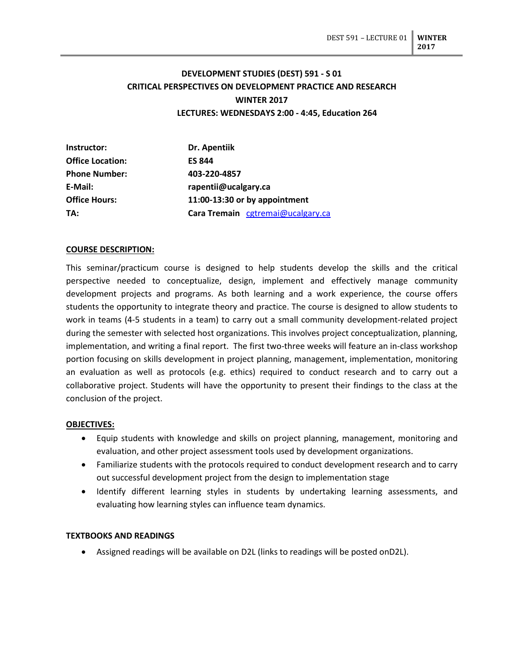# **DEVELOPMENT STUDIES (DEST) 591 - S 01 CRITICAL PERSPECTIVES ON DEVELOPMENT PRACTICE AND RESEARCH WINTER 2017 LECTURES: WEDNESDAYS 2:00 - 4:45, Education 264**

| Instructor:             | Dr. Apentiik                      |  |
|-------------------------|-----------------------------------|--|
| <b>Office Location:</b> | <b>ES 844</b>                     |  |
| <b>Phone Number:</b>    | 403-220-4857                      |  |
| E-Mail:                 | rapentii@ucalgary.ca              |  |
| <b>Office Hours:</b>    | 11:00-13:30 or by appointment     |  |
| TA:                     | Cara Tremain cgtremai@ucalgary.ca |  |

### **COURSE DESCRIPTION:**

This seminar/practicum course is designed to help students develop the skills and the critical perspective needed to conceptualize, design, implement and effectively manage community development projects and programs. As both learning and a work experience, the course offers students the opportunity to integrate theory and practice. The course is designed to allow students to work in teams (4-5 students in a team) to carry out a small community development-related project during the semester with selected host organizations. This involves project conceptualization, planning, implementation, and writing a final report. The first two-three weeks will feature an in-class workshop portion focusing on skills development in project planning, management, implementation, monitoring an evaluation as well as protocols (e.g. ethics) required to conduct research and to carry out a collaborative project. Students will have the opportunity to present their findings to the class at the conclusion of the project.

#### **OBJECTIVES:**

- Equip students with knowledge and skills on project planning, management, monitoring and evaluation, and other project assessment tools used by development organizations.
- Familiarize students with the protocols required to conduct development research and to carry out successful development project from the design to implementation stage
- Identify different learning styles in students by undertaking learning assessments, and evaluating how learning styles can influence team dynamics.

### **TEXTBOOKS AND READINGS**

• Assigned readings will be available on D2L (links to readings will be posted onD2L).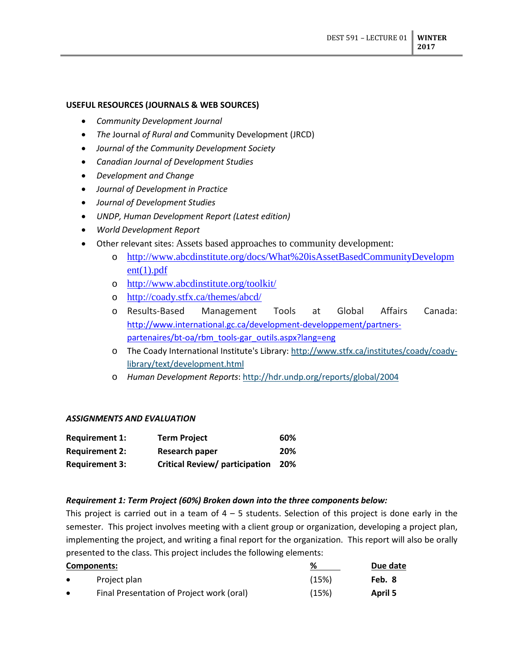## **USEFUL RESOURCES (JOURNALS & WEB SOURCES)**

- *Community Development Journal*
- *The* Journal *of Rural and* Community Development (JRCD)
- *Journal of the Community Development Society*
- *Canadian Journal of Development Studies*
- *Development and Change*
- *Journal of Development in Practice*
- *Journal of Development Studies*
- *UNDP, Human Development Report (Latest edition)*
- *World Development Report*
- Other relevant sites: Assets based approaches to community development:
	- o [http://www.abcdinstitute.org/docs/What%20isAssetBasedCommunityDevelopm](http://www.abcdinstitute.org/docs/What%20isAssetBasedCommunityDevelopment(1).pdf)  $ent(1).pdf$
	- o <http://www.abcdinstitute.org/toolkit/>
	- o <http://coady.stfx.ca/themes/abcd/>
	- o Results-Based Management Tools at Global Affairs Canada: [http://www.international.gc.ca/development-developpement/partners](http://www.international.gc.ca/development-developpement/partners-partenaires/bt-oa/rbm_tools-gar_outils.aspx?lang=eng)[partenaires/bt-oa/rbm\\_tools-gar\\_outils.aspx?lang=eng](http://www.international.gc.ca/development-developpement/partners-partenaires/bt-oa/rbm_tools-gar_outils.aspx?lang=eng)
	- o The Coady International Institute's Library: [http://www.stfx.ca/institutes/coady/coady](http://www.stfx.ca/institutes/coady/coady-library/text/development.html)[library/text/development.html](http://www.stfx.ca/institutes/coady/coady-library/text/development.html)
	- o *Human Development Reports*[: http://hdr.undp.org/reports/global/2004](http://hdr.undp.org/reports/global/2004)

### *ASSIGNMENTS AND EVALUATION*

| <b>Requirement 1:</b> | <b>Term Project</b>                   | 60% |
|-----------------------|---------------------------------------|-----|
| <b>Requirement 2:</b> | Research paper                        | 20% |
| <b>Requirement 3:</b> | <b>Critical Review/ participation</b> | 20% |

### *Requirement 1: Term Project (60%) Broken down into the three components below:*

This project is carried out in a team of  $4 - 5$  students. Selection of this project is done early in the semester. This project involves meeting with a client group or organization, developing a project plan, implementing the project, and writing a final report for the organization. This report will also be orally presented to the class. This project includes the following elements:

| Components: |                                           | ℅     | Due date |
|-------------|-------------------------------------------|-------|----------|
| $\bullet$   | Project plan                              | (15%) | Feb. 8   |
| $\bullet$   | Final Presentation of Project work (oral) | (15%) | April 5  |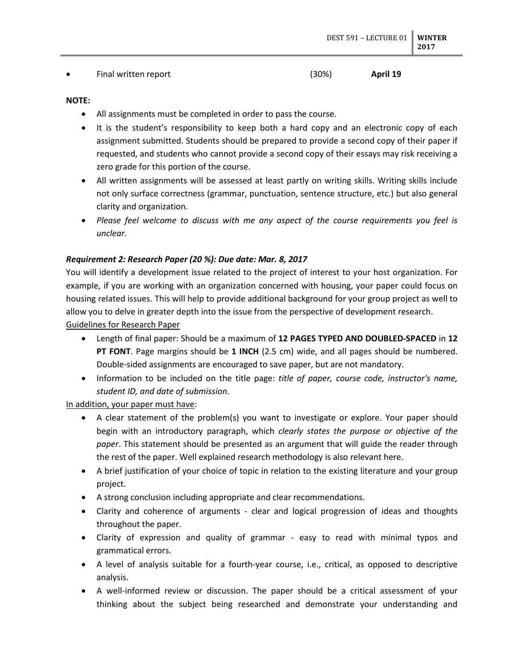### • Final written report (30%) **April 19**

### **NOTE:**

- All assignments must be completed in order to pass the course.
- It is the student's responsibility to keep both a hard copy and an electronic copy of each assignment submitted. Students should be prepared to provide a second copy of their paper if requested, and students who cannot provide a second copy of their essays may risk receiving a zero grade for this portion of the course.
- All written assignments will be assessed at least partly on writing skills. Writing skills include not only surface correctness (grammar, punctuation, sentence structure, etc.) but also general clarity and organization.
- *Please feel welcome to discuss with me any aspect of the course requirements you feel is unclear.*

### *Requirement 2: Research Paper (20 %): Due date: Mar. 8, 2017*

You will identify a development issue related to the project of interest to your host organization. For example, if you are working with an organization concerned with housing, your paper could focus on housing related issues. This will help to provide additional background for your group project as well to allow you to delve in greater depth into the issue from the perspective of development research.

Guidelines for Research Paper

- Length of final paper: Should be a maximum of **12 PAGES TYPED AND DOUBLED-SPACED** in **12 PT FONT**. Page margins should be **1 INCH** (2.5 cm) wide, and all pages should be numbered. Double-sided assignments are encouraged to save paper, but are not mandatory.
- Information to be included on the title page: *title of paper, course code, instructor's name, student ID, and date of submission*.

In addition, your paper must have:

- A clear statement of the problem(s) you want to investigate or explore. Your paper should begin with an introductory paragraph, which *clearly states the purpose or objective of the paper*. This statement should be presented as an argument that will guide the reader through the rest of the paper. Well explained research methodology is also relevant here.
- A brief justification of your choice of topic in relation to the existing literature and your group project.
- A strong conclusion including appropriate and clear recommendations.
- Clarity and coherence of arguments clear and logical progression of ideas and thoughts throughout the paper.
- Clarity of expression and quality of grammar easy to read with minimal typos and grammatical errors.
- A level of analysis suitable for a fourth-year course, i.e., critical, as opposed to descriptive analysis.
- A well-informed review or discussion. The paper should be a critical assessment of your thinking about the subject being researched and demonstrate your understanding and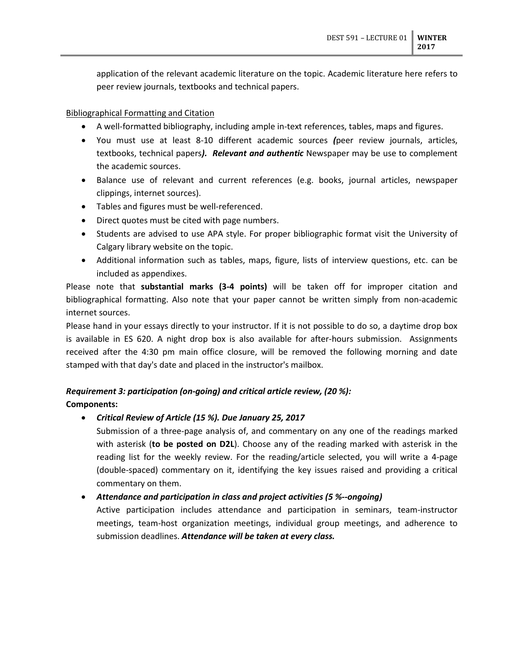application of the relevant academic literature on the topic. Academic literature here refers to peer review journals, textbooks and technical papers.

## Bibliographical Formatting and Citation

- A well-formatted bibliography, including ample in-text references, tables, maps and figures.
- You must use at least 8-10 different academic sources *(*peer review journals, articles, textbooks, technical papers*). Relevant and authentic* Newspaper may be use to complement the academic sources.
- Balance use of relevant and current references (e.g. books, journal articles, newspaper clippings, internet sources).
- Tables and figures must be well-referenced.
- Direct quotes must be cited with page numbers.
- Students are advised to use APA style. For proper bibliographic format visit the University of Calgary library website on the topic.
- Additional information such as tables, maps, figure, lists of interview questions, etc. can be included as appendixes.

Please note that **substantial marks (3-4 points)** will be taken off for improper citation and bibliographical formatting. Also note that your paper cannot be written simply from non-academic internet sources.

Please hand in your essays directly to your instructor. If it is not possible to do so, a daytime drop box is available in ES 620. A night drop box is also available for after-hours submission. Assignments received after the 4:30 pm main office closure, will be removed the following morning and date stamped with that day's date and placed in the instructor's mailbox.

# *Requirement 3: participation (on-going) and critical article review, (20 %):*

## **Components:**

## • *Critical Review of Article (15 %). Due January 25, 2017*

Submission of a three-page analysis of, and commentary on any one of the readings marked with asterisk (**to be posted on D2L**). Choose any of the reading marked with asterisk in the reading list for the weekly review. For the reading/article selected, you will write a 4-page (double-spaced) commentary on it, identifying the key issues raised and providing a critical commentary on them.

• *Attendance and participation in class and project activities (5 %--ongoing)*

Active participation includes attendance and participation in seminars, team-instructor meetings, team-host organization meetings, individual group meetings, and adherence to submission deadlines. *Attendance will be taken at every class.*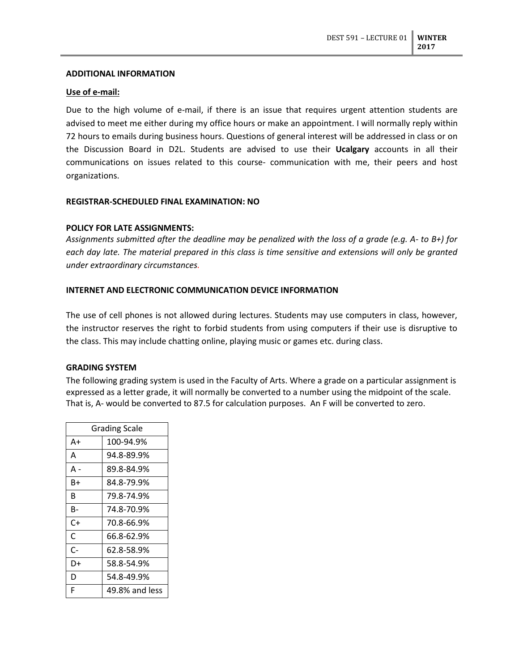### **ADDITIONAL INFORMATION**

### **Use of e-mail:**

Due to the high volume of e-mail, if there is an issue that requires urgent attention students are advised to meet me either during my office hours or make an appointment. I will normally reply within 72 hours to emails during business hours. Questions of general interest will be addressed in class or on the Discussion Board in D2L. Students are advised to use their **Ucalgary** accounts in all their communications on issues related to this course- communication with me, their peers and host organizations.

### **REGISTRAR-SCHEDULED FINAL EXAMINATION: NO**

### **POLICY FOR LATE ASSIGNMENTS:**

*Assignments submitted after the deadline may be penalized with the loss of a grade (e.g. A- to B+) for each day late. The material prepared in this class is time sensitive and extensions will only be granted under extraordinary circumstances.* 

### **INTERNET AND ELECTRONIC COMMUNICATION DEVICE INFORMATION**

The use of cell phones is not allowed during lectures. Students may use computers in class, however, the instructor reserves the right to forbid students from using computers if their use is disruptive to the class. This may include chatting online, playing music or games etc. during class.

## **GRADING SYSTEM**

The following grading system is used in the Faculty of Arts. Where a grade on a particular assignment is expressed as a letter grade, it will normally be converted to a number using the midpoint of the scale. That is, A- would be converted to 87.5 for calculation purposes. An F will be converted to zero.

| <b>Grading Scale</b> |                |  |
|----------------------|----------------|--|
| A+                   | 100-94.9%      |  |
| A                    | 94.8-89.9%     |  |
| А -                  | 89.8-84.9%     |  |
| B+                   | 84.8-79.9%     |  |
| B                    | 79.8-74.9%     |  |
| B-                   | 74.8-70.9%     |  |
| C+                   | 70.8-66.9%     |  |
| C                    | 66.8-62.9%     |  |
| $C-$                 | 62.8-58.9%     |  |
| D+                   | 58.8-54.9%     |  |
| D                    | 54.8-49.9%     |  |
| F                    | 49.8% and less |  |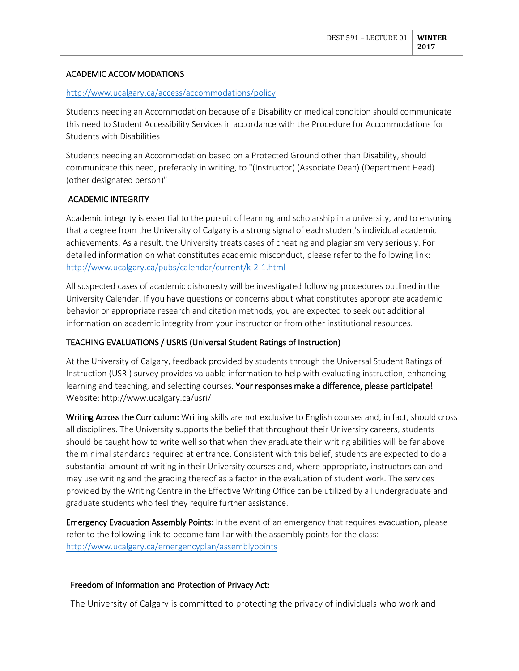## ACADEMIC ACCOMMODATIONS

### <http://www.ucalgary.ca/access/accommodations/policy>

Students needing an Accommodation because of a Disability or medical condition should communicate this need to Student Accessibility Services in accordance with the Procedure for Accommodations for Students with Disabilities

Students needing an Accommodation based on a Protected Ground other than Disability, should communicate this need, preferably in writing, to "(Instructor) (Associate Dean) (Department Head) (other designated person)"

## ACADEMIC INTEGRITY

Academic integrity is essential to the pursuit of learning and scholarship in a university, and to ensuring that a degree from the University of Calgary is a strong signal of each student's individual academic achievements. As a result, the University treats cases of cheating and plagiarism very seriously. For detailed information on what constitutes academic misconduct, please refer to the following link: <http://www.ucalgary.ca/pubs/calendar/current/k-2-1.html>

All suspected cases of academic dishonesty will be investigated following procedures outlined in the University Calendar. If you have questions or concerns about what constitutes appropriate academic behavior or appropriate research and citation methods, you are expected to seek out additional information on academic integrity from your instructor or from other institutional resources.

## TEACHING EVALUATIONS / USRIS (Universal Student Ratings of Instruction)

At the University of Calgary, feedback provided by students through the Universal Student Ratings of Instruction (USRI) survey provides valuable information to help with evaluating instruction, enhancing learning and teaching, and selecting courses. Your responses make a difference, please participate! Website: http://www.ucalgary.ca/usri/

Writing Across the Curriculum: Writing skills are not exclusive to English courses and, in fact, should cross all disciplines. The University supports the belief that throughout their University careers, students should be taught how to write well so that when they graduate their writing abilities will be far above the minimal standards required at entrance. Consistent with this belief, students are expected to do a substantial amount of writing in their University courses and, where appropriate, instructors can and may use writing and the grading thereof as a factor in the evaluation of student work. The services provided by the Writing Centre in the Effective Writing Office can be utilized by all undergraduate and graduate students who feel they require further assistance.

Emergency Evacuation Assembly Points: In the event of an emergency that requires evacuation, please refer to the following link to become familiar with the assembly points for the class: <http://www.ucalgary.ca/emergencyplan/assemblypoints>

## Freedom of Information and Protection of Privacy Act:

The University of Calgary is committed to protecting the privacy of individuals who work and